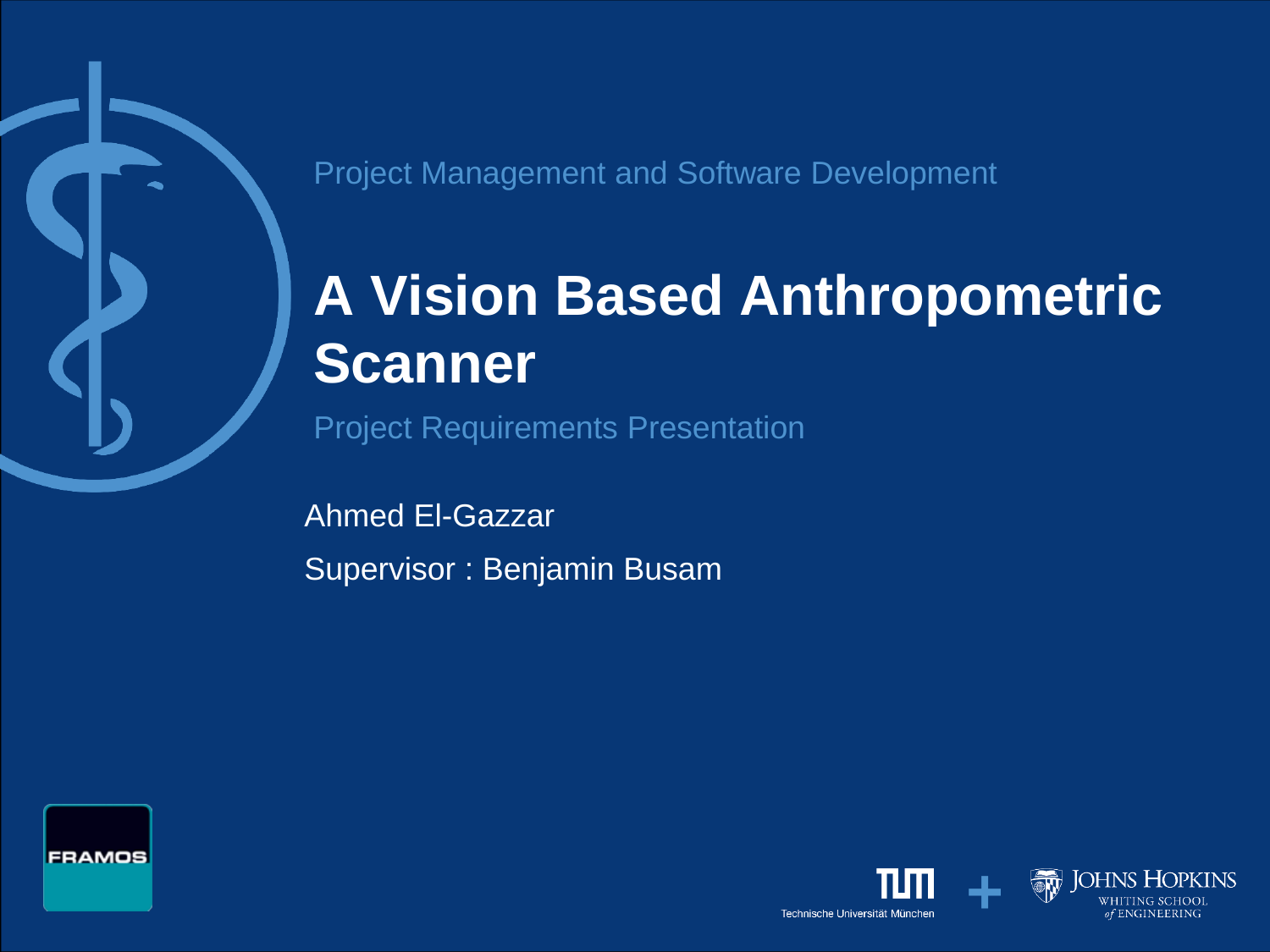Project Management and Software Development

# **A Vision Based Anthropometric Scanner**

Project Requirements Presentation

Ahmed El-Gazzar Supervisor : Benjamin Busam



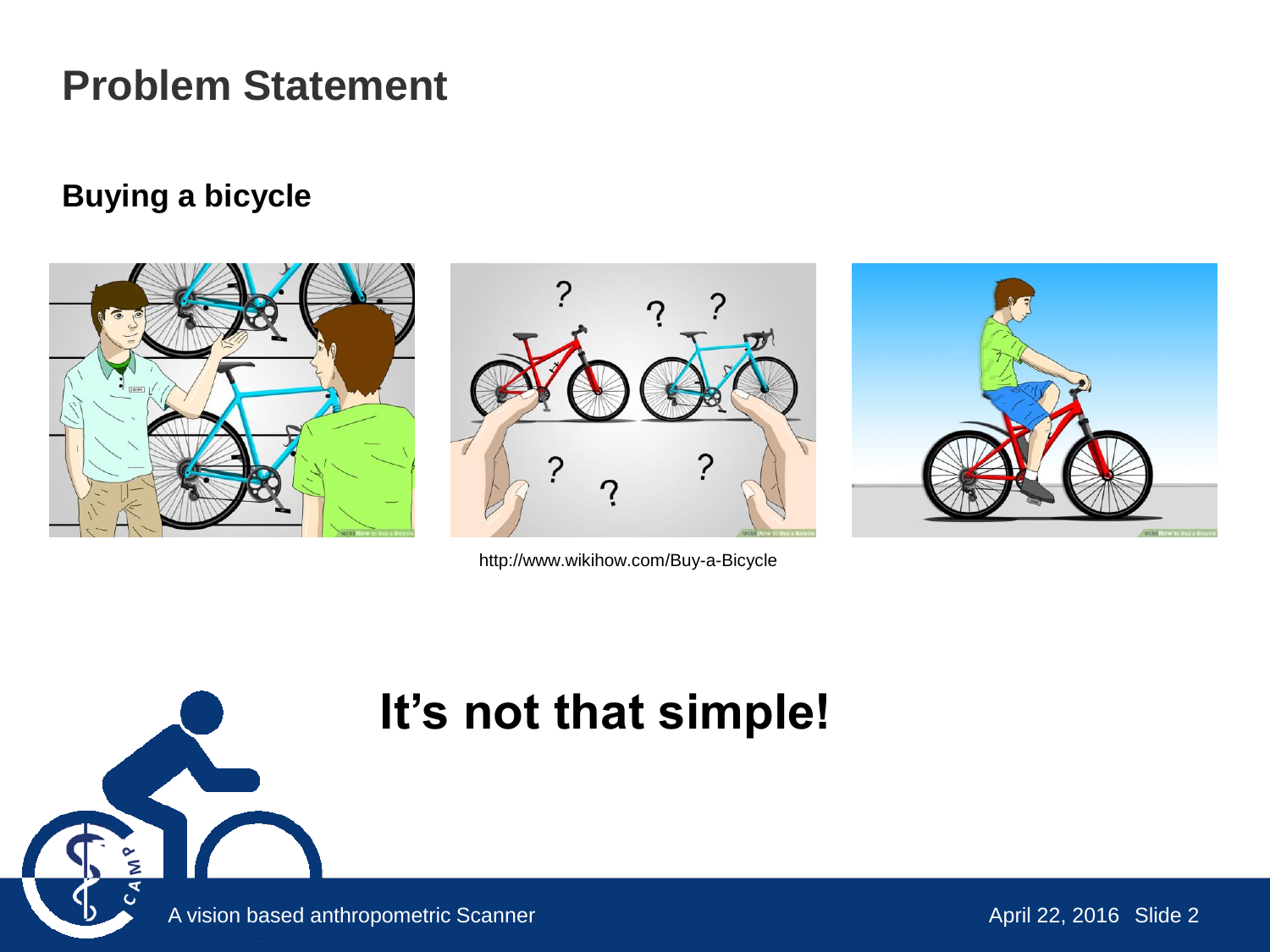### **Problem Statement**

#### **Buying a bicycle**







http://www.wikihow.com/Buy-a-Bicycle

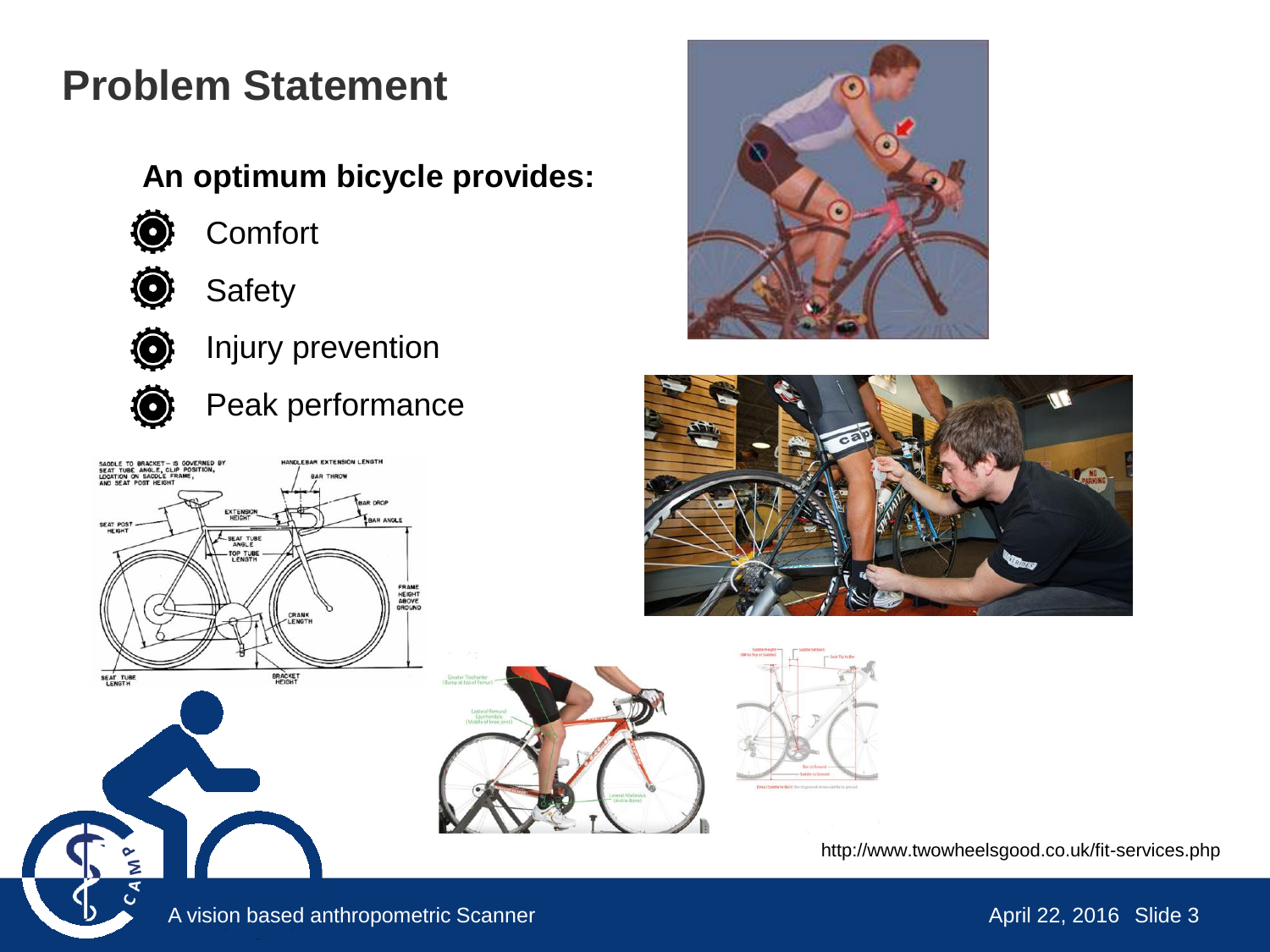### **Problem Statement**

#### **An optimum bicycle provides:**



**Comfort** 



Safety



Injury prevention



Peak performance









http://www.twowheelsgood.co.uk/fit-services.php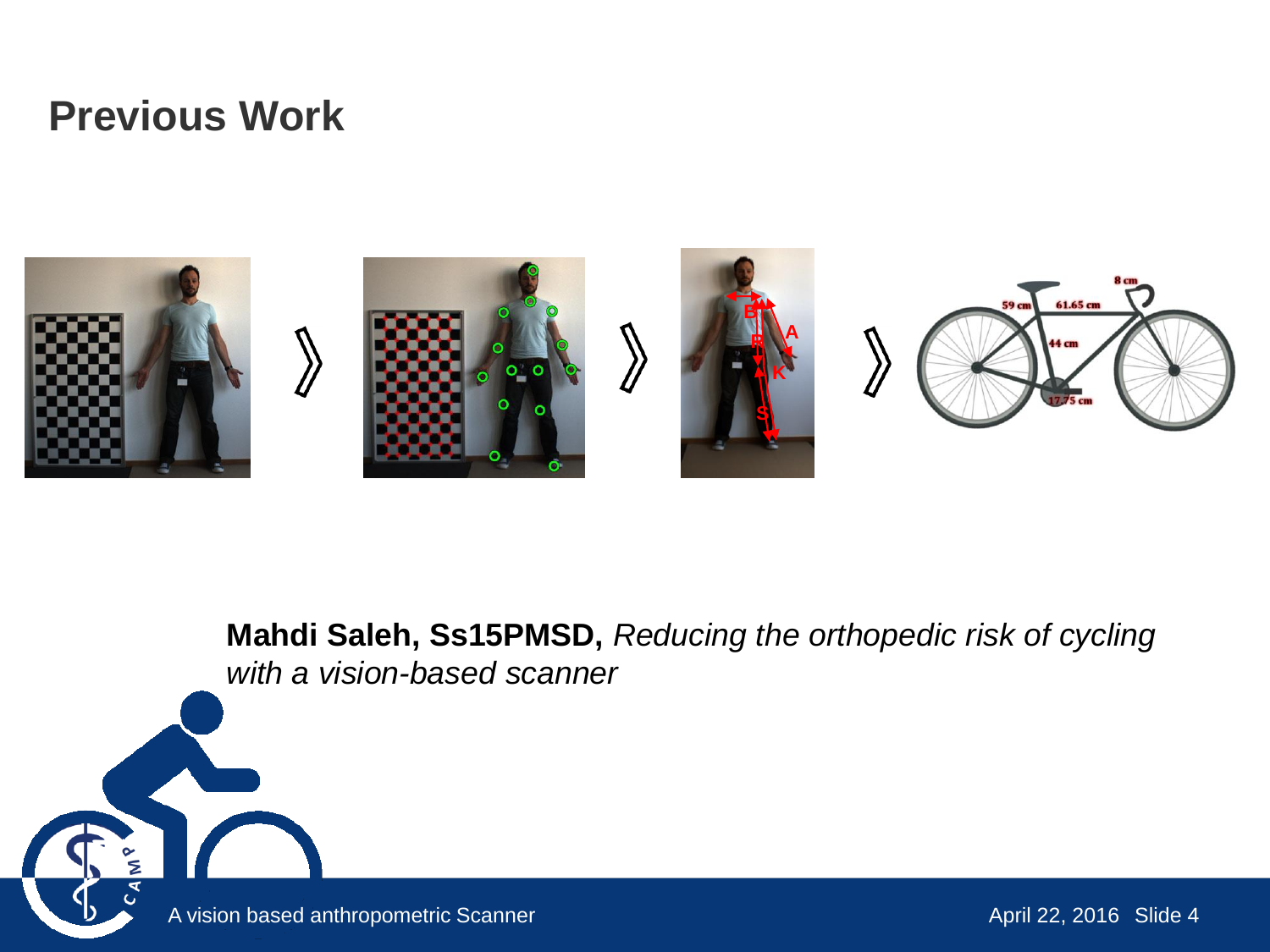### **Previous Work**

 $\frac{8}{5}$ 



**Mahdi Saleh, Ss15PMSD,** *Reducing the orthopedic risk of cycling with a vision-based scanner*

A vision based anthropometric Scanner April 22, 2016 Slide 4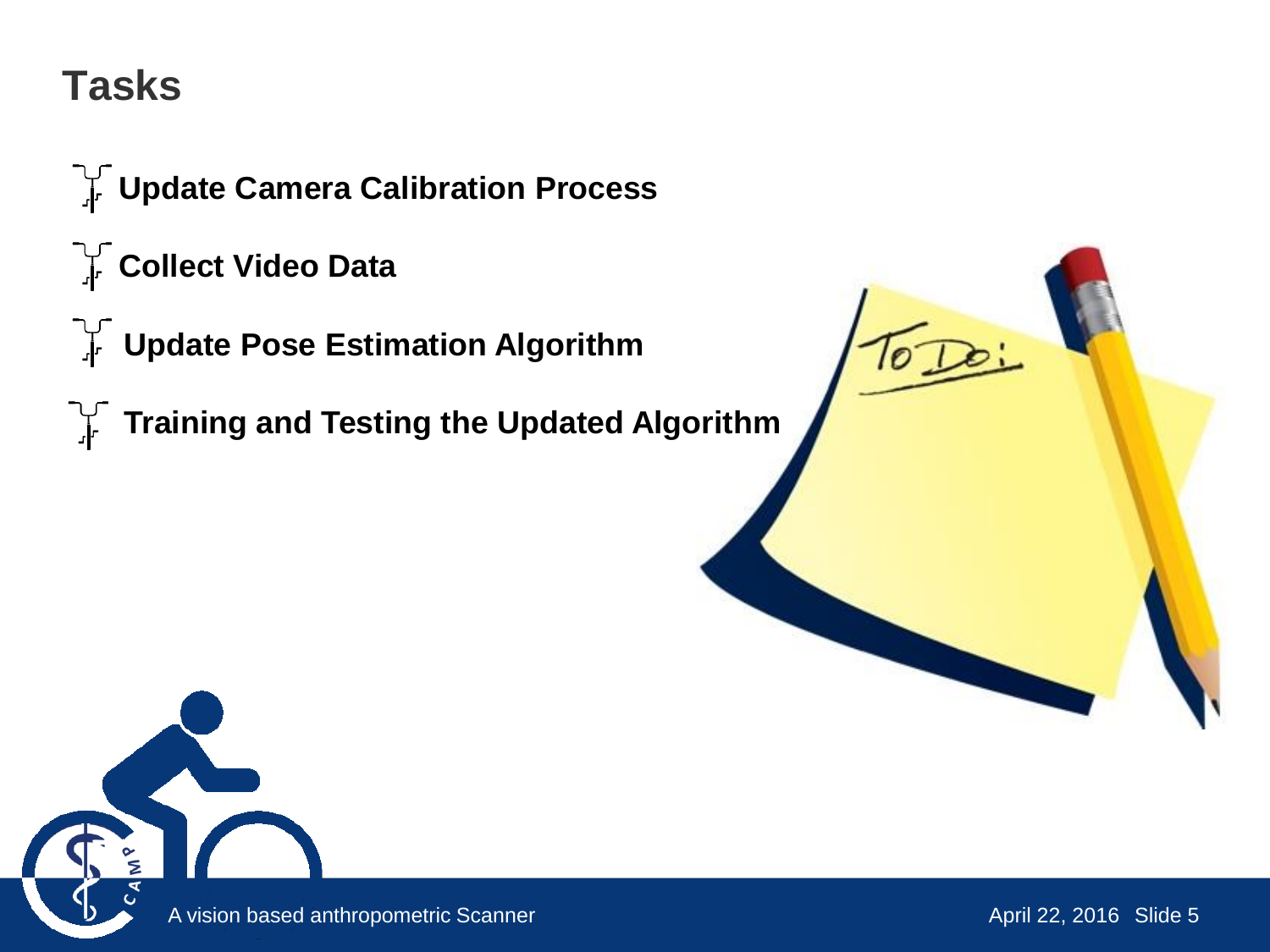### **Tasks**

**THE Update Camera Calibration Process** 

- **Collect Video Data**
- **THE Update Pose Estimation Algorithm**
- **Training and Testing the Updated Algorithm**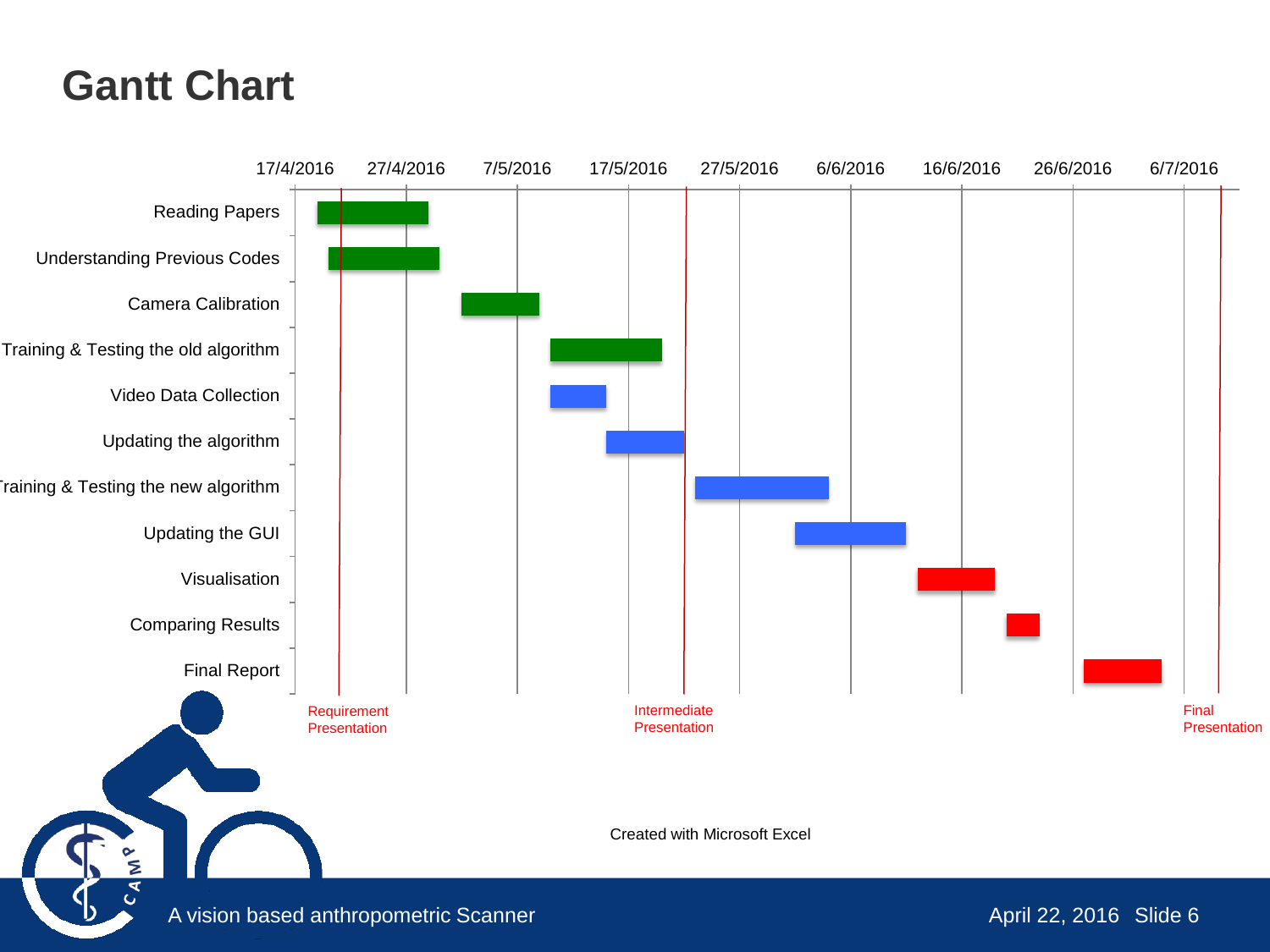### **Gantt Chart**

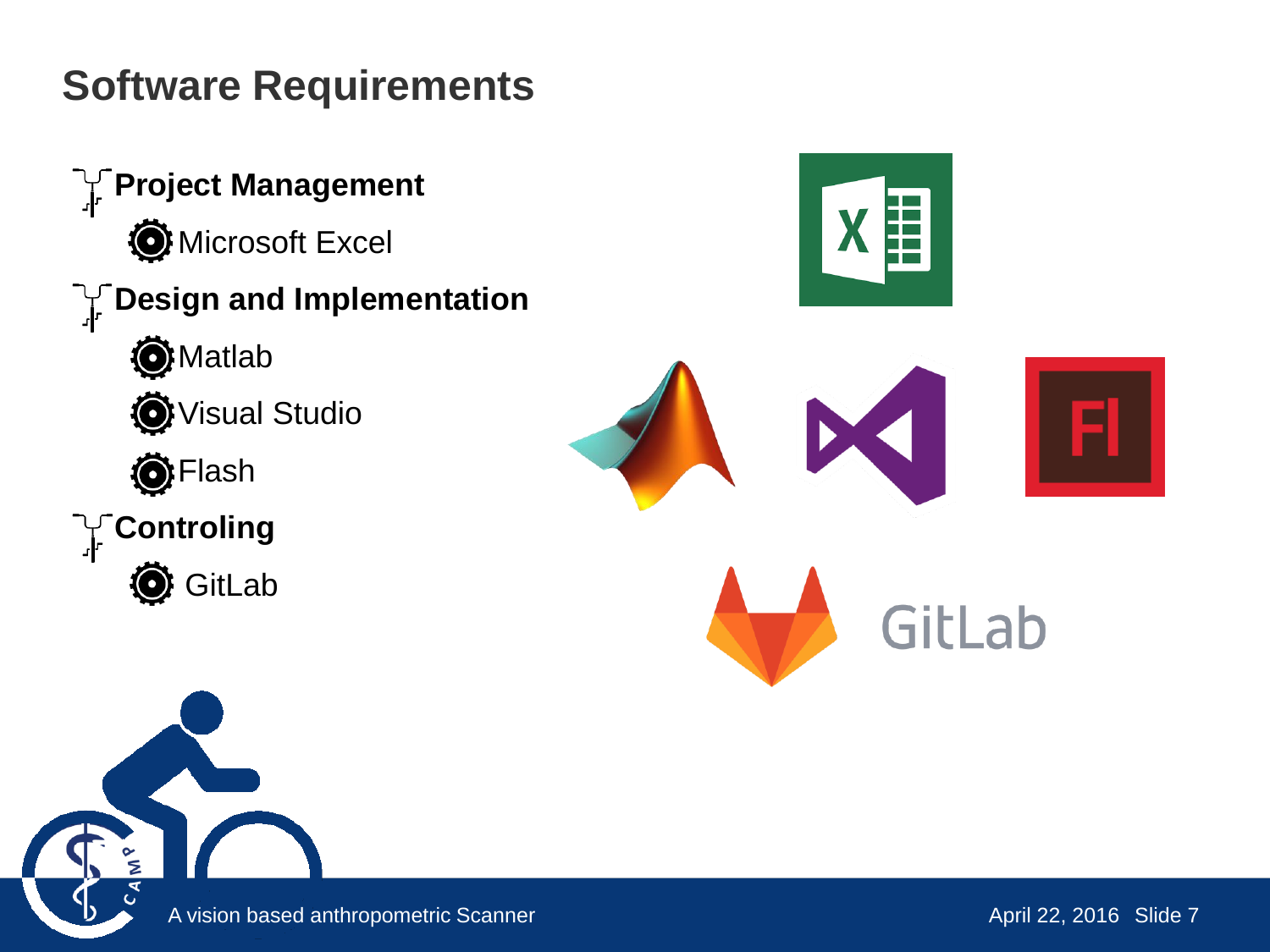## **Software Requirements**